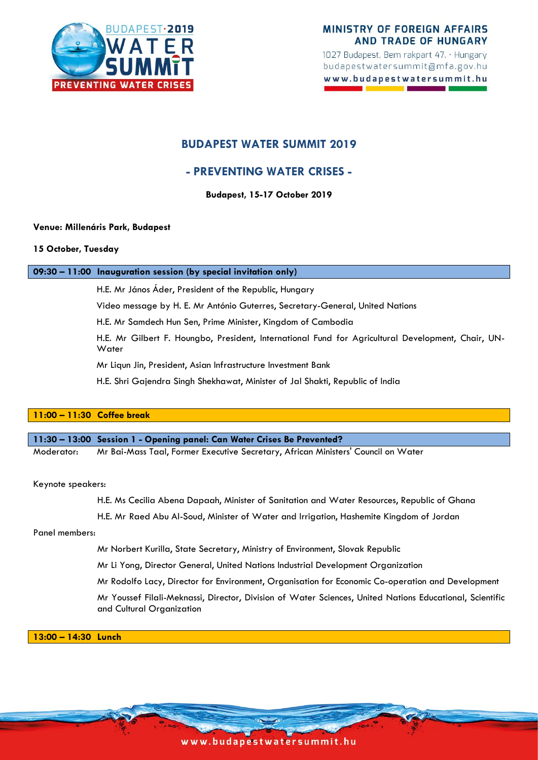

1027 Budapest, Bem rakpart 47. · Hungary budapestwatersummit@mfa.gov.hu www.budapestwatersummit.hu

# **BUDAPEST WATER SUMMIT 2019**

# **- PREVENTING WATER CRISES -**

**Budapest, 15-17 October 2019**

# **Venue: Millenáris Park, Budapest**

## **15 October, Tuesday**

# **09:30 – 11:00 Inauguration session (by special invitation only)**

H.E. Mr János Áder, President of the Republic, Hungary

Video message by H. E. Mr António Guterres, Secretary-General, United Nations

H.E. Mr Samdech Hun Sen, Prime Minister, Kingdom of Cambodia

H.E. Mr Gilbert F. Houngbo, President, International Fund for Agricultural Development, Chair, UN-**Water** 

Mr Liqun Jin, President, Asian Infrastructure Investment Bank

H.E. Shri Gajendra Singh Shekhawat, Minister of Jal Shakti, Republic of India

# **11:00 – 11:30 Coffee break**

**11:30 – 13:00 Session 1 - Opening panel: Can Water Crises Be Prevented?**

Moderator: Mr Bai-Mass Taal, Former Executive Secretary, African Ministers' Council on Water

Keynote speakers:

H.E. Ms Cecilia Abena Dapaah, Minister of Sanitation and Water Resources, Republic of Ghana

H.E. Mr Raed Abu Al-Soud, Minister of Water and Irrigation, Hashemite Kingdom of Jordan

Panel members:

Mr Norbert Kurilla, State Secretary, Ministry of Environment, Slovak Republic

Mr Li Yong, Director General, United Nations Industrial Development Organization

Mr Rodolfo Lacy, Director for Environment, Organisation for Economic Co-operation and Development

Mr Youssef Filali-Meknassi, Director, Division of Water Sciences, United Nations Educational, Scientific and Cultural Organization

**13:00 – 14:30 Lunch** 

www.budapestwatersummit.hu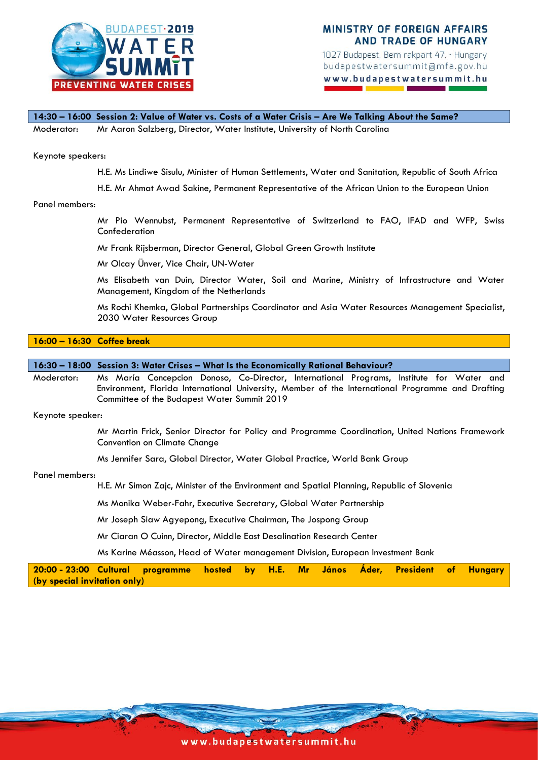

1027 Budapest, Bem rakpart 47. · Hungary budapestwatersummit@mfa.gov.hu www.budapestwatersummit.hu

**14:30 – 16:00 Session 2: Value of Water vs. Costs of a Water Crisis – Are We Talking About the Same?** Moderator: Mr Aaron Salzberg, Director, Water Institute, University of North Carolina

### Keynote speakers:

- H.E. Ms Lindiwe Sisulu, Minister of Human Settlements, Water and Sanitation, Republic of South Africa
- H.E. Mr Ahmat Awad Sakine, Permanent Representative of the African Union to the European Union

### Panel members:

Mr Pio Wennubst, Permanent Representative of Switzerland to FAO, IFAD and WFP, Swiss Confederation

Mr Frank Rijsberman, Director General, Global Green Growth Institute

Mr Olcay Ünver, Vice Chair, UN-Water

Ms Elisabeth van Duin, Director Water, Soil and Marine, Ministry of Infrastructure and Water Management, Kingdom of the Netherlands

Ms Rochi Khemka, Global Partnerships Coordinator and Asia Water Resources Management Specialist, 2030 Water Resources Group

## **16:00 – 16:30 Coffee break**

**16:30 – 18:00 Session 3: Water Crises – What Is the Economically Rational Behaviour?**

Moderator: Ms María Concepcion Donoso, Co-Director, International Programs, Institute for Water and Environment, Florida International University, Member of the International Programme and Drafting Committee of the Budapest Water Summit 2019

Keynote speaker:

Mr Martin Frick, Senior Director for Policy and Programme Coordination, United Nations Framework Convention on Climate Change

Ms Jennifer Sara, Global Director, Water Global Practice, World Bank Group

### Panel members:

H.E. Mr Simon Zajc, Minister of the Environment and Spatial Planning, Republic of Slovenia

Ms Monika Weber-Fahr, Executive Secretary, Global Water Partnership

Mr Joseph Siaw Agyepong, Executive Chairman, The Jospong Group

Mr Ciaran O Cuinn, Director, Middle East Desalination Research Center

Ms Karine Méasson, Head of Water management Division, European Investment Bank

| 20:00 - 23:00 Cultural programme hosted by H.E. Mr János Áder, President of Hungary |  |  |  |  |  |  |
|-------------------------------------------------------------------------------------|--|--|--|--|--|--|
| (by special invitation only)                                                        |  |  |  |  |  |  |

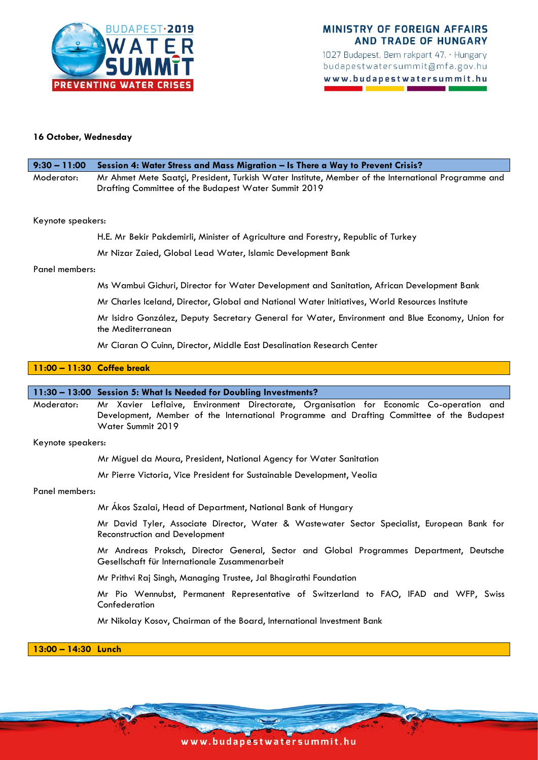

1027 Budapest, Bem rakpart 47. · Hungary budapestwatersummit@mfa.gov.hu www.budapestwatersummit.hu

# **16 October, Wednesday**

| $9:30 - 11:00$ | Session 4: Water Stress and Mass Migration - Is There a Way to Prevent Crisis?                                                                              |
|----------------|-------------------------------------------------------------------------------------------------------------------------------------------------------------|
| Moderator:     | Mr Ahmet Mete Saatçi, President, Turkish Water Institute, Member of the International Programme and<br>Drafting Committee of the Budapest Water Summit 2019 |

### Keynote speakers:

H.E. Mr Bekir Pakdemirli, Minister of Agriculture and Forestry, Republic of Turkey

Mr Nizar Zaied, Global Lead Water, Islamic Development Bank

## Panel members:

Ms Wambui Gichuri, Director for Water Development and Sanitation, African Development Bank

Mr Charles Iceland, Director, Global and National Water Initiatives, World Resources Institute

Mr Isidro González, Deputy Secretary General for Water, Environment and Blue Economy, Union for the Mediterranean

Mr Ciaran O Cuinn, Director, Middle East Desalination Research Center

# **11:00 – 11:30 Coffee break**

### **11:30 – 13:00 Session 5: What Is Needed for Doubling Investments?**

Moderator: Mr Xavier Leflaive, Environment Directorate, Organisation for Economic Co-operation and Development, Member of the International Programme and Drafting Committee of the Budapest Water Summit 2019

Keynote speakers:

Mr Miguel da Moura, President, National Agency for Water Sanitation

Mr Pierre Victoria, Vice President for Sustainable Development, Veolia

Panel members:

Mr Ákos Szalai, Head of Department, National Bank of Hungary

Mr David Tyler, Associate Director, Water & Wastewater Sector Specialist, European Bank for Reconstruction and Development

Mr Andreas Proksch, Director General, Sector and Global Programmes Department, Deutsche Gesellschaft für Internationale Zusammenarbeit

Mr Prithvi Raj Singh, Managing Trustee, Jal Bhagirathi Foundation

Mr Pio Wennubst, Permanent Representative of Switzerland to FAO, IFAD and WFP, Swiss Confederation

Mr Nikolay Kosov, Chairman of the Board, International Investment Bank

## **13:00 – 14:30 Lunch**

www.budape stwatersummit.hu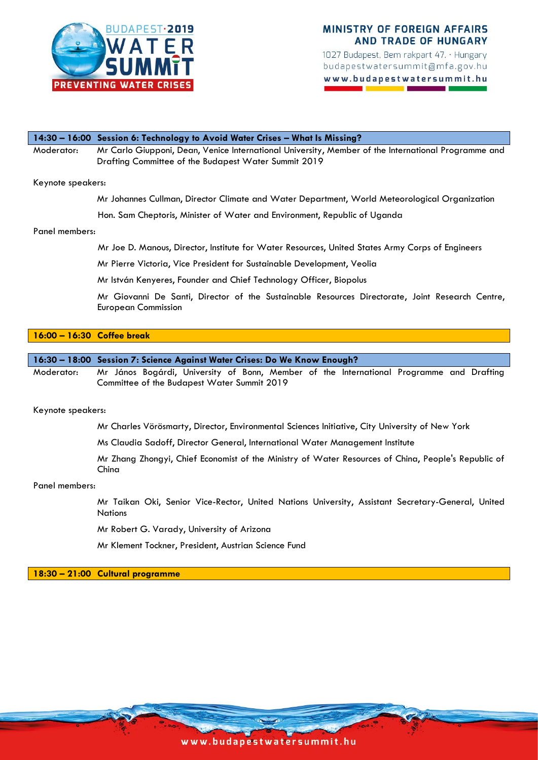

1027 Budapest, Bem rakpart 47. · Hungary budapestwatersummit@mfa.gov.hu www.budapestwatersummit.hu

# **14:30 – 16:00 Session 6: Technology to Avoid Water Crises – What Is Missing?** Moderator: Mr Carlo Giupponi, Dean, Venice International University, Member of the International Programme and

Drafting Committee of the Budapest Water Summit 2019

## Keynote speakers:

Mr Johannes Cullman, Director Climate and Water Department, World Meteorological Organization

Hon. Sam Cheptoris, Minister of Water and Environment, Republic of Uganda

### Panel members:

Mr Joe D. Manous, Director, Institute for Water Resources, United States Army Corps of Engineers

Mr Pierre Victoria, Vice President for Sustainable Development, Veolia

Mr István Kenyeres, Founder and Chief Technology Officer, Biopolus

Mr Giovanni De Santi, Director of the Sustainable Resources Directorate, Joint Research Centre, European Commission

# **16:00 – 16:30 Coffee break**

## **16:30 – 18:00 Session 7: Science Against Water Crises: Do We Know Enough?**

Moderator: Mr János Bogárdi, University of Bonn, Member of the International Programme and Drafting Committee of the Budapest Water Summit 2019

Keynote speakers:

Mr Charles Vörösmarty, Director, Environmental Sciences Initiative, City University of New York

Ms Claudia Sadoff, Director General, International Water Management Institute

Mr Zhang Zhongyi, Chief Economist of the Ministry of Water Resources of China, People's Republic of China

### Panel members:

Mr Taikan Oki, Senior Vice-Rector, United Nations University, Assistant Secretary-General, United **Nations** 

Mr Robert G. Varady, University of Arizona

Mr Klement Tockner, President, Austrian Science Fund

**18:30 – 21:00 Cultural programme**

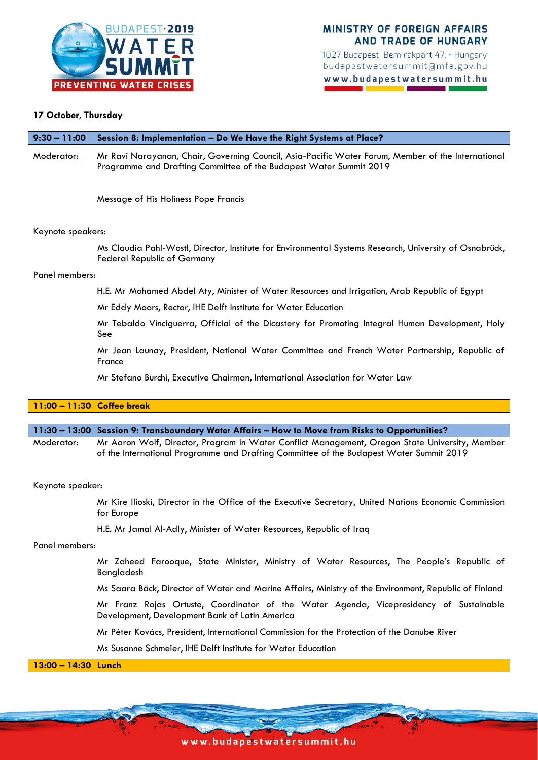

1027 Budapest, Bem rakpart 47. · Hungary budapestwatersummit@mfa.gov.hu www.budapestwatersummit.hu

# **17 October, Thursday**

## **9:30 – 11:00 Session 8: Implementation – Do We Have the Right Systems at Place?**

Moderator: Mr Ravi Narayanan, Chair, Governing Council, Asia-Pacific Water Forum, Member of the International Programme and Drafting Committee of the Budapest Water Summit 2019

Message of His Holiness Pope Francis

## Keynote speakers:

Ms Claudia Pahl-Wostl, Director, Institute for Environmental Systems Research, University of Osnabrück, Federal Republic of Germany

### Panel members:

H.E. Mr Mohamed Abdel Aty, Minister of Water Resources and Irrigation, Arab Republic of Egypt

Mr Eddy Moors, Rector, IHE Delft Institute for Water Education

Mr Tebaldo Vinciguerra, Official of the Dicastery for Promoting Integral Human Development, Holy See

Mr Jean Launay, President, National Water Committee and French Water Partnership, Republic of France

Mr Stefano Burchi, Executive Chairman, International Association for Water Law

## **11:00 – 11:30 Coffee break**

### **11:30 – 13:00 Session 9: Transboundary Water Affairs – How to Move from Risks to Opportunities?**

Moderator: Mr Aaron Wolf, Director, Program in Water Conflict Management, Oregon State University, Member of the International Programme and Drafting Committee of the Budapest Water Summit 2019

### Keynote speaker:

Mr Kire Ilioski, Director in the Office of the Executive Secretary, United Nations Economic Commission for Europe

H.E. Mr Jamal Al-Adly, Minister of Water Resources, Republic of Iraq

### Panel members:

Mr Zaheed Farooque, State Minister, Ministry of Water Resources, The People's Republic of Bangladesh

Ms Saara Bäck, Director of Water and Marine Affairs, Ministry of the Environment, Republic of Finland

Mr Franz Rojas Ortuste, Coordinator of the Water Agenda, Vicepresidency of Sustainable Development, Development Bank of Latin America

Mr Péter Kovács, President, International Commission for the Protection of the Danube River

Ms Susanne Schmeier, IHE Delft Institute for Water Education

**13:00 – 14:30 Lunch** 

www.budape stwatersummit.hu